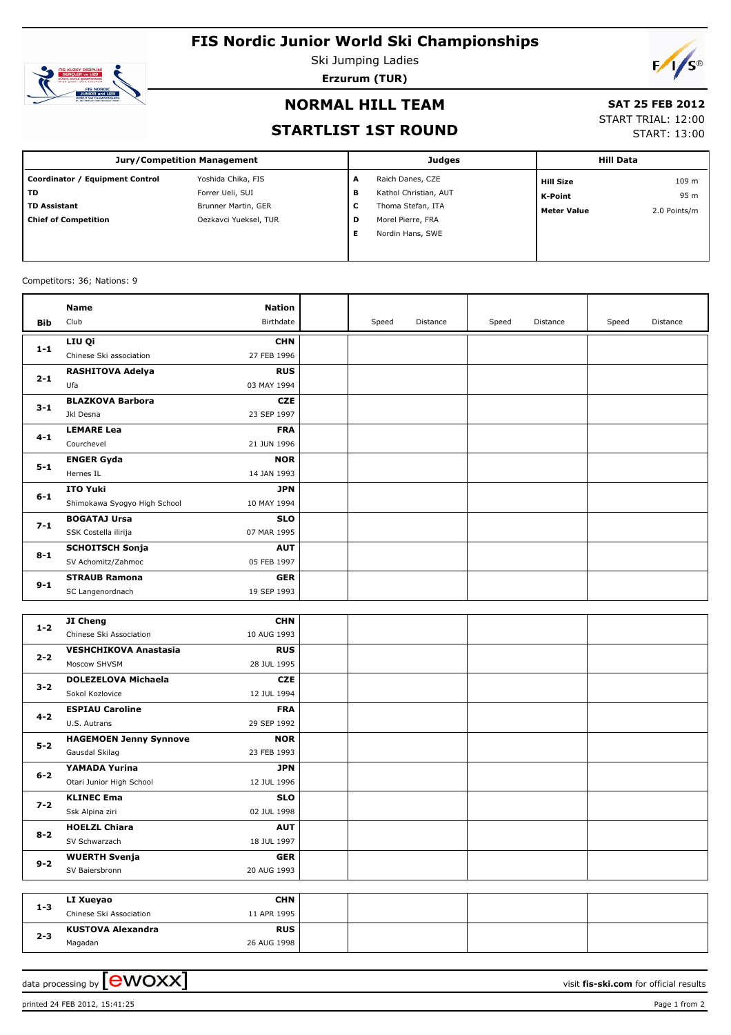# **FIS Nordic Junior World Ski Championships**



Ski Jumping Ladies

**Erzurum (TUR)**



### **NORMAL HILL TEAM**

## **SAT 25 FEB 2012**

**STARTLIST 1ST ROUND**

|  | ------------       |
|--|--------------------|
|  | START TRIAL: 12:00 |

START: 13:00

| <b>Jury/Competition Management</b>        |                       |   | <b>Judges</b>         | <b>Hill Data</b>   |              |
|-------------------------------------------|-----------------------|---|-----------------------|--------------------|--------------|
| <b>Equipment Control</b><br>Coordinator / | Yoshida Chika, FIS    | A | Raich Danes, CZE      | <b>Hill Size</b>   | 109 m        |
| TD                                        | Forrer Ueli, SUI      | в | Kathol Christian, AUT | K-Point            | 95 m         |
| <b>TD Assistant</b>                       | Brunner Martin, GER   | с | Thoma Stefan, ITA     | <b>Meter Value</b> | 2.0 Points/m |
| <b>Chief of Competition</b>               | Oezkavci Yueksel, TUR | D | Morel Pierre, FRA     |                    |              |
|                                           |                       | Е | Nordin Hans, SWE      |                    |              |
|                                           |                       |   |                       |                    |              |

#### Competitors: 36; Nations: 9

|            | Name                                 | <b>Nation</b> |       |          |       |          |       |          |
|------------|--------------------------------------|---------------|-------|----------|-------|----------|-------|----------|
| <b>Bib</b> | Club                                 | Birthdate     | Speed | Distance | Speed | Distance | Speed | Distance |
|            | LIU Qi                               | <b>CHN</b>    |       |          |       |          |       |          |
| $1-1$      | Chinese Ski association              | 27 FEB 1996   |       |          |       |          |       |          |
| $2 - 1$    | <b>RASHITOVA Adelya</b>              | <b>RUS</b>    |       |          |       |          |       |          |
|            | Ufa                                  | 03 MAY 1994   |       |          |       |          |       |          |
| $3 - 1$    | <b>BLAZKOVA Barbora</b>              | <b>CZE</b>    |       |          |       |          |       |          |
|            | Jkl Desna                            | 23 SEP 1997   |       |          |       |          |       |          |
| 4-1        | <b>LEMARE Lea</b>                    | <b>FRA</b>    |       |          |       |          |       |          |
|            | Courchevel                           | 21 JUN 1996   |       |          |       |          |       |          |
| $5 - 1$    | <b>ENGER Gyda</b>                    | <b>NOR</b>    |       |          |       |          |       |          |
|            | Hernes IL                            | 14 JAN 1993   |       |          |       |          |       |          |
| $6 - 1$    | <b>ITO Yuki</b>                      | JPN           |       |          |       |          |       |          |
|            | Shimokawa Syogyo High School         | 10 MAY 1994   |       |          |       |          |       |          |
| $7 - 1$    | <b>BOGATAJ Ursa</b>                  | <b>SLO</b>    |       |          |       |          |       |          |
|            | SSK Costella ilirija                 | 07 MAR 1995   |       |          |       |          |       |          |
| $8 - 1$    | <b>SCHOITSCH Sonja</b>               | <b>AUT</b>    |       |          |       |          |       |          |
|            | SV Achomitz/Zahmoc                   | 05 FEB 1997   |       |          |       |          |       |          |
| $9 - 1$    | <b>STRAUB Ramona</b>                 | <b>GER</b>    |       |          |       |          |       |          |
|            | SC Langenordnach                     | 19 SEP 1993   |       |          |       |          |       |          |
|            |                                      |               |       |          |       |          |       |          |
| $1 - 2$    | JI Cheng                             | <b>CHN</b>    |       |          |       |          |       |          |
|            | Chinese Ski Association              | 10 AUG 1993   |       |          |       |          |       |          |
| $2 - 2$    | <b>VESHCHIKOVA Anastasia</b>         | <b>RUS</b>    |       |          |       |          |       |          |
|            | Moscow SHVSM                         | 28 JUL 1995   |       |          |       |          |       |          |
| $3 - 2$    | <b>DOLEZELOVA Michaela</b>           | <b>CZE</b>    |       |          |       |          |       |          |
|            | Sokol Kozlovice                      | 12 JUL 1994   |       |          |       |          |       |          |
| 4-2        | <b>ESPIAU Caroline</b>               | <b>FRA</b>    |       |          |       |          |       |          |
|            | U.S. Autrans                         | 29 SEP 1992   |       |          |       |          |       |          |
| $5 - 2$    | <b>HAGEMOEN Jenny Synnove</b>        | <b>NOR</b>    |       |          |       |          |       |          |
|            | Gausdal Skilag                       | 23 FEB 1993   |       |          |       |          |       |          |
| $6 - 2$    | YAMADA Yurina                        | <b>JPN</b>    |       |          |       |          |       |          |
|            | Otari Junior High School             | 12 JUL 1996   |       |          |       |          |       |          |
| $7 - 2$    | <b>KLINEC Ema</b>                    | <b>SLO</b>    |       |          |       |          |       |          |
|            | Ssk Alpina ziri                      | 02 JUL 1998   |       |          |       |          |       |          |
| $8 - 2$    | <b>HOELZL Chiara</b>                 | <b>AUT</b>    |       |          |       |          |       |          |
|            | SV Schwarzach                        | 18 JUL 1997   |       |          |       |          |       |          |
| $9 - 2$    | <b>WUERTH Svenja</b>                 | <b>GER</b>    |       |          |       |          |       |          |
|            | SV Baiersbronn                       | 20 AUG 1993   |       |          |       |          |       |          |
|            |                                      | <b>CHN</b>    |       |          |       |          |       |          |
| $1 - 3$    | LI Xueyao<br>Chinese Ski Association | 11 APR 1995   |       |          |       |          |       |          |
|            | <b>KUSTOVA Alexandra</b>             | <b>RUS</b>    |       |          |       |          |       |          |
| $2 - 3$    | Magadan                              | 26 AUG 1998   |       |          |       |          |       |          |
|            |                                      |               |       |          |       |          |       |          |